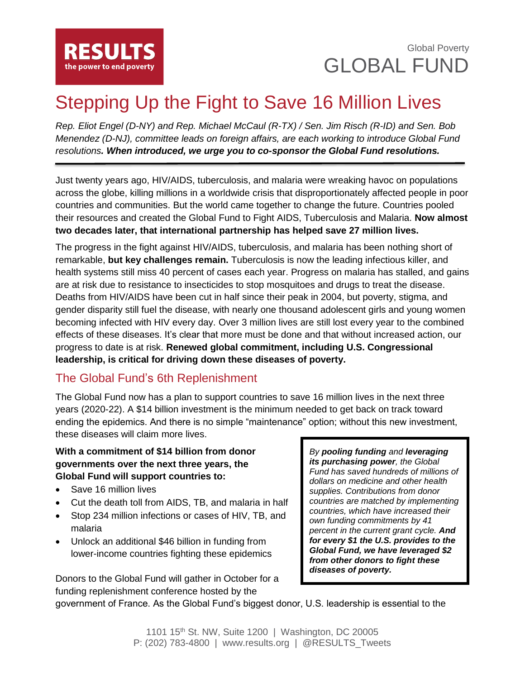

# Stepping Up the Fight to Save 16 Million Lives

*Rep. Eliot Engel (D-NY) and Rep. Michael McCaul (R-TX) / Sen. Jim Risch (R-ID) and Sen. Bob Menendez (D-NJ), committee leads on foreign affairs, are each working to introduce Global Fund resolutions. When introduced, we urge you to co-sponsor the Global Fund resolutions.*

Just twenty years ago, HIV/AIDS, tuberculosis, and malaria were wreaking havoc on populations across the globe, killing millions in a worldwide crisis that disproportionately affected people in poor countries and communities. But the world came together to change the future. Countries pooled their resources and created the Global Fund to Fight AIDS, Tuberculosis and Malaria. **Now almost two decades later, that international partnership has helped save 27 million lives.**

The progress in the fight against HIV/AIDS, tuberculosis, and malaria has been nothing short of remarkable, **but key challenges remain.** Tuberculosis is now the leading infectious killer, and health systems still miss 40 percent of cases each year. Progress on malaria has stalled, and gains are at risk due to resistance to insecticides to stop mosquitoes and drugs to treat the disease. Deaths from HIV/AIDS have been cut in half since their peak in 2004, but poverty, stigma, and gender disparity still fuel the disease, with nearly one thousand adolescent girls and young women becoming infected with HIV every day. Over 3 million lives are still lost every year to the combined effects of these diseases. It's clear that more must be done and that without increased action, our progress to date is at risk. **Renewed global commitment, including U.S. Congressional leadership, is critical for driving down these diseases of poverty.**

### The Global Fund's 6th Replenishment

The Global Fund now has a plan to support countries to save 16 million lives in the next three years (2020-22). A \$14 billion investment is the minimum needed to get back on track toward ending the epidemics. And there is no simple "maintenance" option; without this new investment, these diseases will claim more lives.

#### **With a commitment of \$14 billion from donor governments over the next three years, the Global Fund will support countries to:**

- Save 16 million lives
- Cut the death toll from AIDS, TB, and malaria in half
- Stop 234 million infections or cases of HIV, TB, and malaria
- Unlock an additional \$46 billion in funding from lower-income countries fighting these epidemics

Donors to the Global Fund will gather in October for a funding replenishment conference hosted by the

*By pooling funding and leveraging its purchasing power, the Global Fund has saved hundreds of millions of dollars on medicine and other health supplies. Contributions from donor countries are matched by implementing countries, which have increased their own funding commitments by 41 percent in the current grant cycle. And for every \$1 the U.S. provides to the Global Fund, we have leveraged \$2 from other donors to fight these diseases of poverty.*

government of France. As the Global Fund's biggest donor, U.S. leadership is essential to the